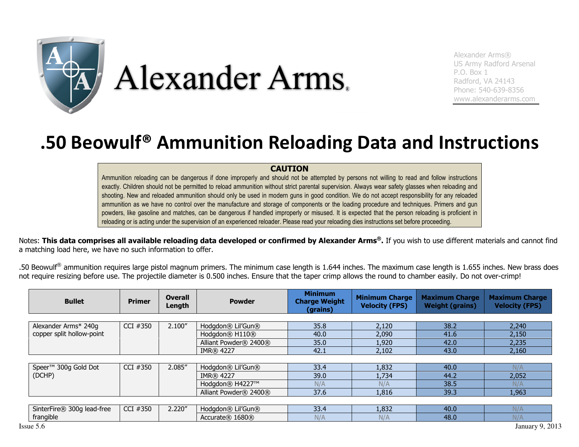

Alexander Arms® US Army Radford Arsenal P.O. Box 1 Radford, VA 24143 Phone: 540-639-8356 www.alexanderarms.com

## .50 Beowulf® Ammunition Reloading Data and Instructions

## CAUTION

Ammunition reloading can be dangerous if done improperly and should not be attempted by persons not willing to read and follow instructions exactly. Children should not be permitted to reload ammunition without strict parental supervision. Always wear safety glasses when reloading and shooting. New and reloaded ammunition should only be used in modern guns in good condition. We do not accept responsibility for any reloaded ammunition as we have no control over the manufacture and storage of components or the loading procedure and techniques. Primers and gun powders, like gasoline and matches, can be dangerous if handled improperly or misused. It is expected that the person reloading is proficient in reloading or is acting under the supervision of an experienced reloader. Please read your reloading dies instructions set before proceeding.

Notes: This data comprises all available reloading data developed or confirmed by Alexander Arms®. If you wish to use different materials and cannot find a matching load here, we have no such information to offer.

.50 Beowulf<sup>®</sup> ammunition requires large pistol magnum primers. The minimum case length is 1.644 inches. The maximum case length is 1.655 inches. New brass does not require resizing before use. The projectile diameter is 0.500 inches. Ensure that the taper crimp allows the round to chamber easily. Do not over-crimp!

| <b>Bullet</b>                                     | <b>Primer</b> | <b>Overall</b><br>Length | <b>Powder</b>                          | <b>Minimum</b><br><b>Charge Weight</b><br>(grains) | <b>Minimum Charge</b><br><b>Velocity (FPS)</b> | <b>Maximum Charge</b><br><b>Weight (grains)</b> | <b>Maximum Charge</b><br><b>Velocity (FPS)</b> |
|---------------------------------------------------|---------------|--------------------------|----------------------------------------|----------------------------------------------------|------------------------------------------------|-------------------------------------------------|------------------------------------------------|
|                                                   |               |                          |                                        |                                                    |                                                |                                                 |                                                |
| Alexander Arms* 240g<br>copper split hollow-point | CCI #350      | 2.100''                  | Hodgdon® Lil'Gun®                      | 35.8                                               | 2,120                                          | 38.2                                            | 2,240                                          |
|                                                   |               |                          | Hodgdon <sup>®</sup> H110 <sup>®</sup> | 40.0                                               | 2,090                                          | 41.6                                            | 2,150                                          |
|                                                   |               |                          | Alliant Powder® 2400®                  | 35.0                                               | 1,920                                          | 42.0                                            | 2,235                                          |
|                                                   |               |                          | <b>IMR</b> ® 4227                      | 42.1                                               | 2,102                                          | 43.0                                            | 2,160                                          |
|                                                   |               |                          |                                        |                                                    |                                                |                                                 |                                                |
| Speer <sup>™</sup> 300g Gold Dot                  | CCI #350      | 2.085"                   | Hodadon® Lil'Gun®                      | 33.4                                               | 1,832                                          | 40.0                                            | N/A                                            |
| (DCHP)                                            |               |                          | <b>IMR</b> ® 4227                      | 39.0                                               | 1,734                                          | 44.2                                            | 2,052                                          |
|                                                   |               |                          | Hodgdon® H4227™                        | N/A                                                | N/A                                            | 38.5                                            | N/A                                            |
|                                                   |               |                          | Alliant Powder® 2400®                  | 37.6                                               | 1,816                                          | 39.3                                            | 1,963                                          |
|                                                   |               |                          |                                        |                                                    |                                                |                                                 |                                                |
| SinterFire® 300g lead-free                        | CCI #350      | 2.220''                  | Hodgdon® Lil'Gun®                      | 33.4                                               | 1,832                                          | 40.0                                            | N/A                                            |

**Accurate® 1680® Accurate Accurate Assume Accurate Assume Assume Assume Assume Assume Assume Assume Assume Assume** 

frangible